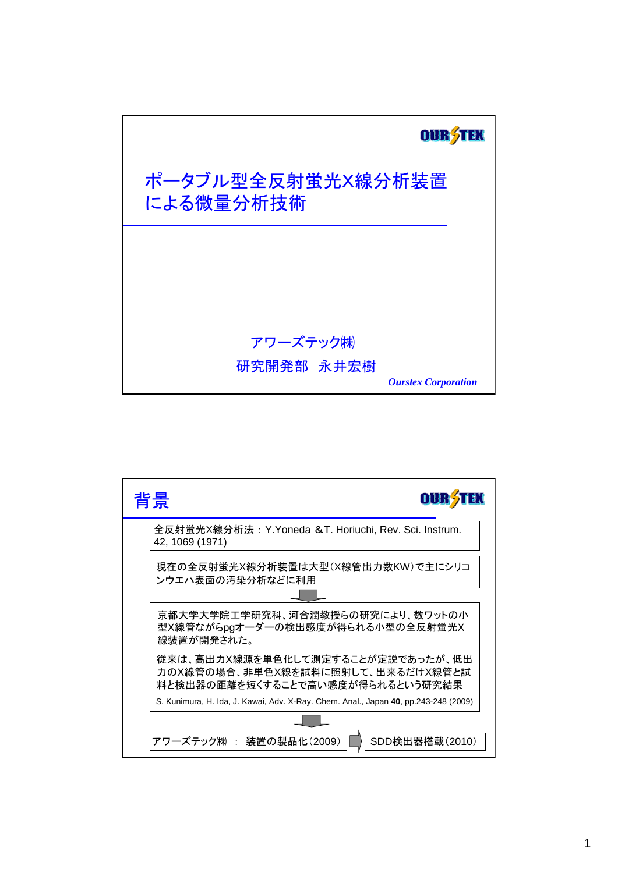

| 背景<br>OU                                                                                                   |
|------------------------------------------------------------------------------------------------------------|
| 全反射蛍光X線分析法: Y.Yoneda &T. Horiuchi, Rev. Sci. Instrum.<br>42, 1069 (1971)                                   |
| 現在の全反射蛍光X線分析装置は大型(X線管出力数KW)で主にシリコ<br>ンウエハ表面の汚染分析などに利用                                                      |
|                                                                                                            |
| 京都大学大学院工学研究科、河合潤教授らの研究により、数ワットの小<br>型X線管ながらpgオーダーの検出感度が得られる小型の全反射蛍光X<br>線装置が開発された。                         |
| 従来は、高出力X線源を単色化して測定することが定説であったが、低出<br>力のX線管の場合、非単色X線を試料に照射して、出来るだけX線管と試<br>料と検出器の距離を短くすることで高い感度が得られるという研究結果 |
| S. Kunimura, H. Ida, J. Kawai, Adv. X-Ray. Chem. Anal., Japan 40, pp.243-248 (2009)                        |
|                                                                                                            |
| 装置の製品化(2009)<br>アワーズテック㈱ :<br>SDD検出器搭載(2010)                                                               |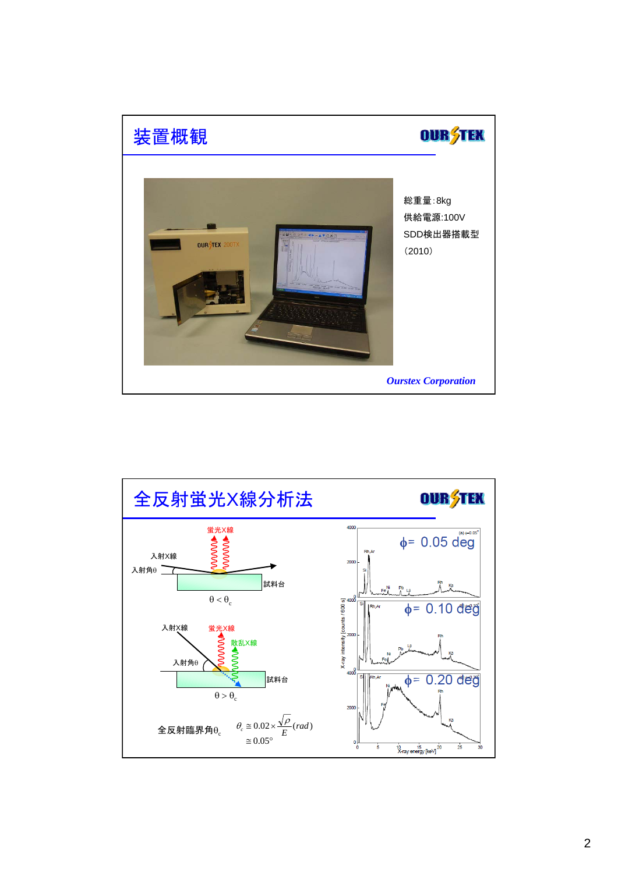

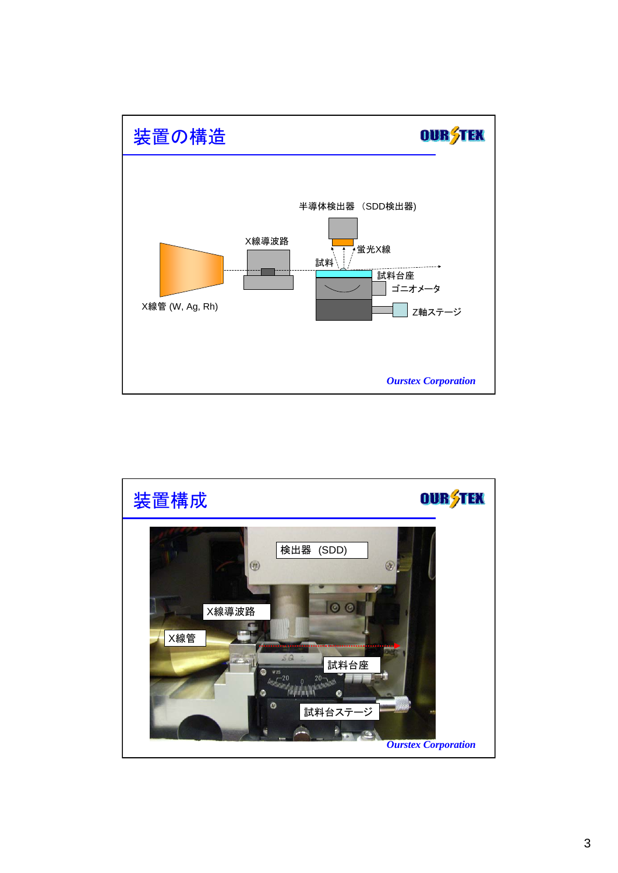

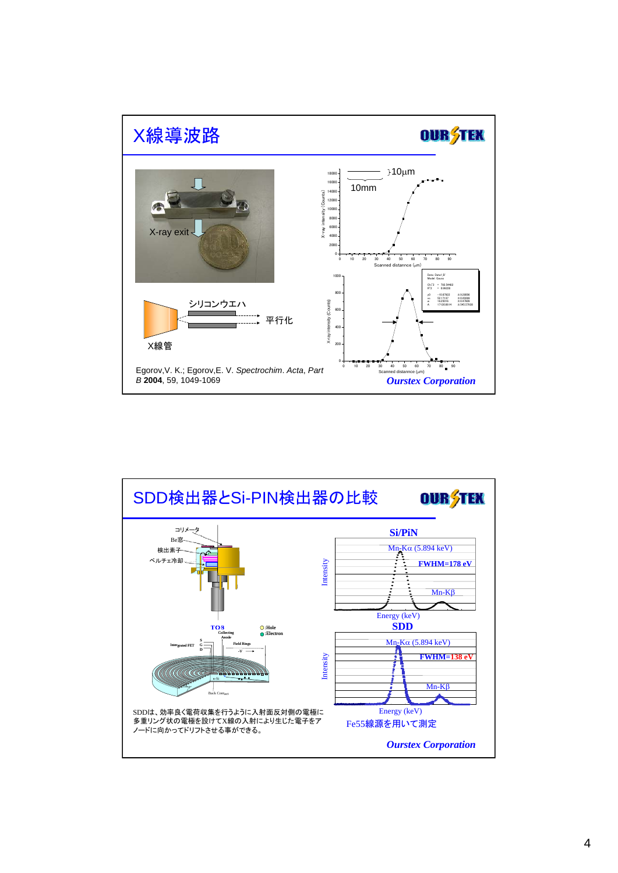

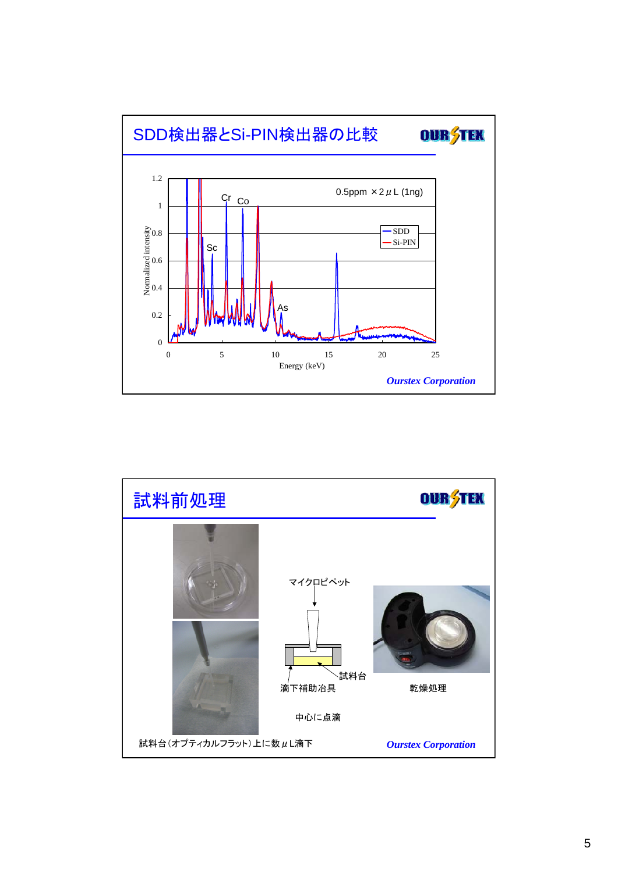

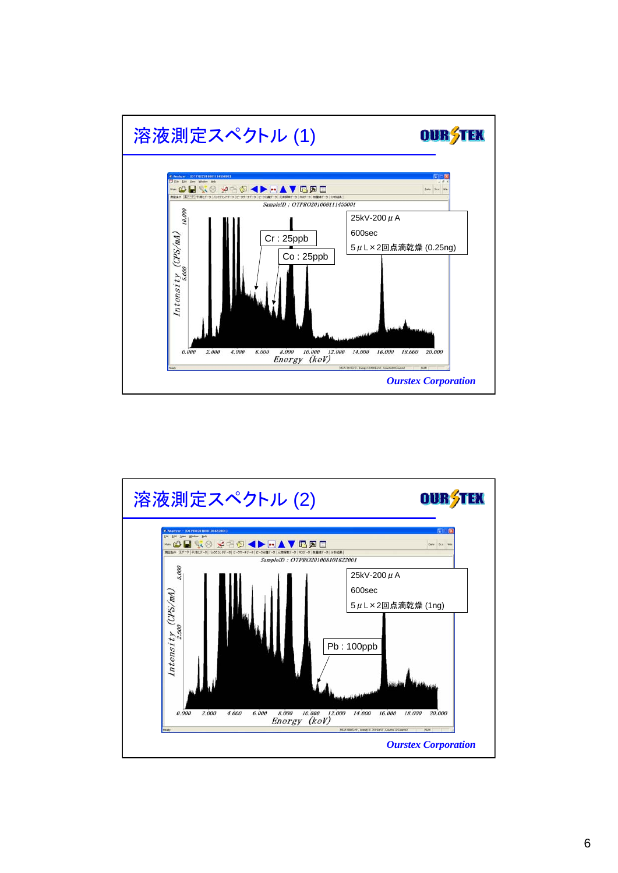

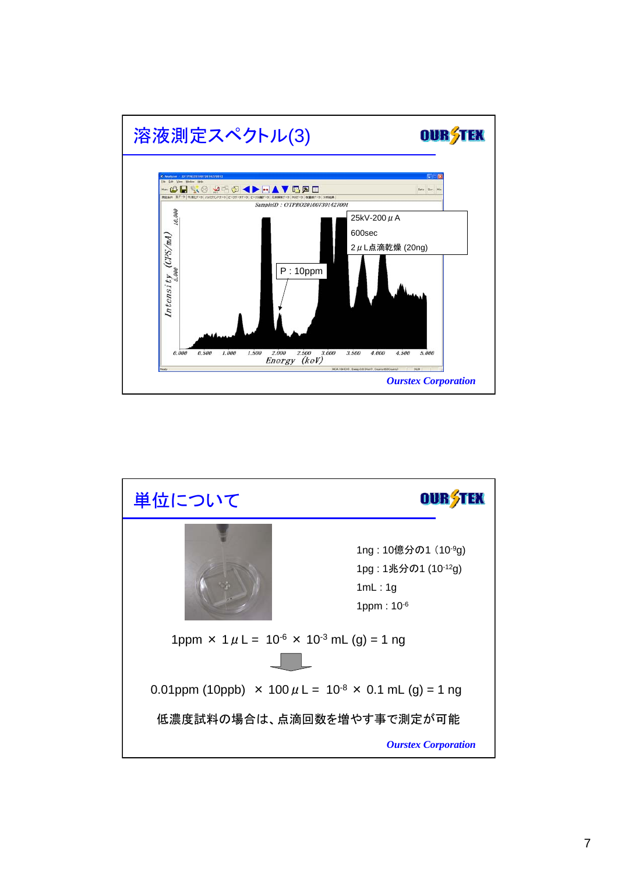

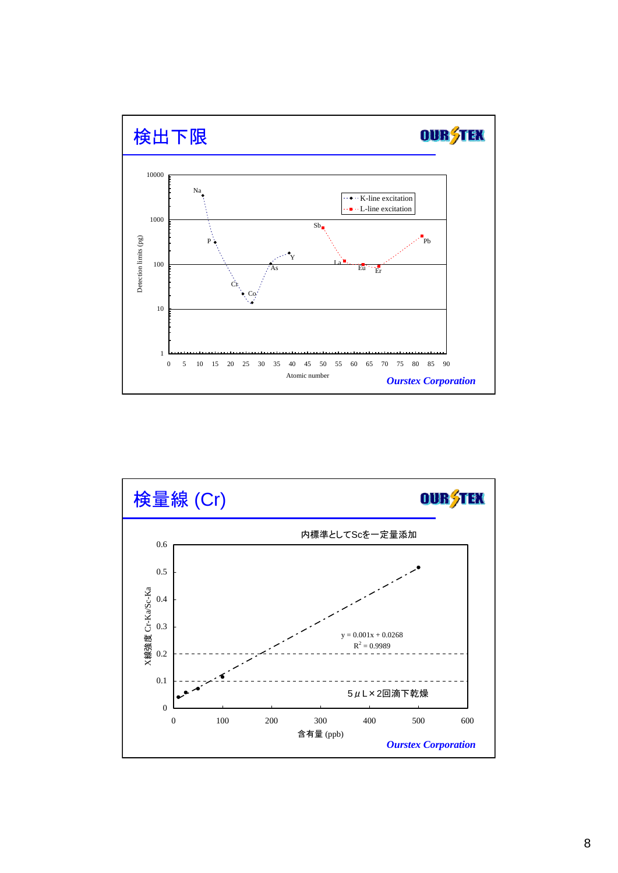

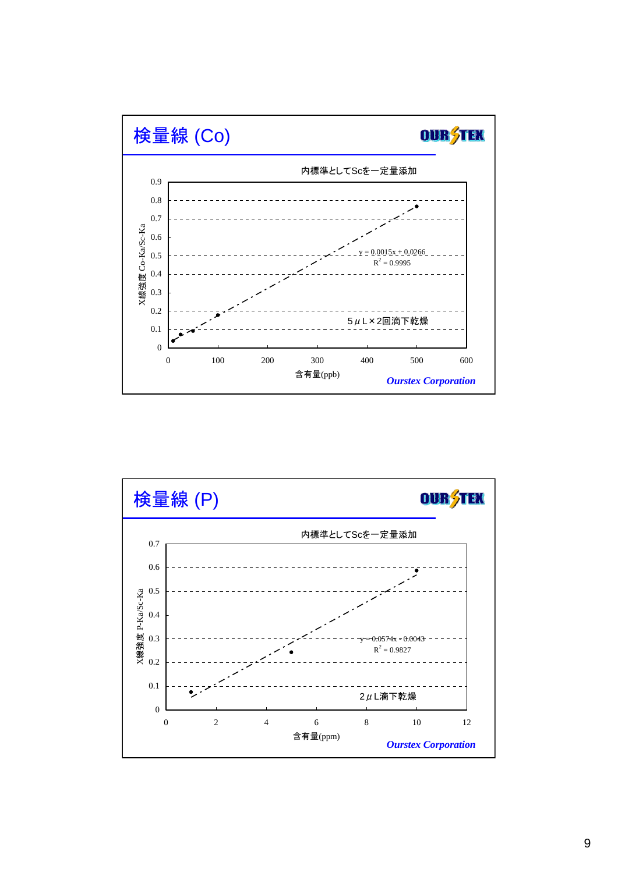

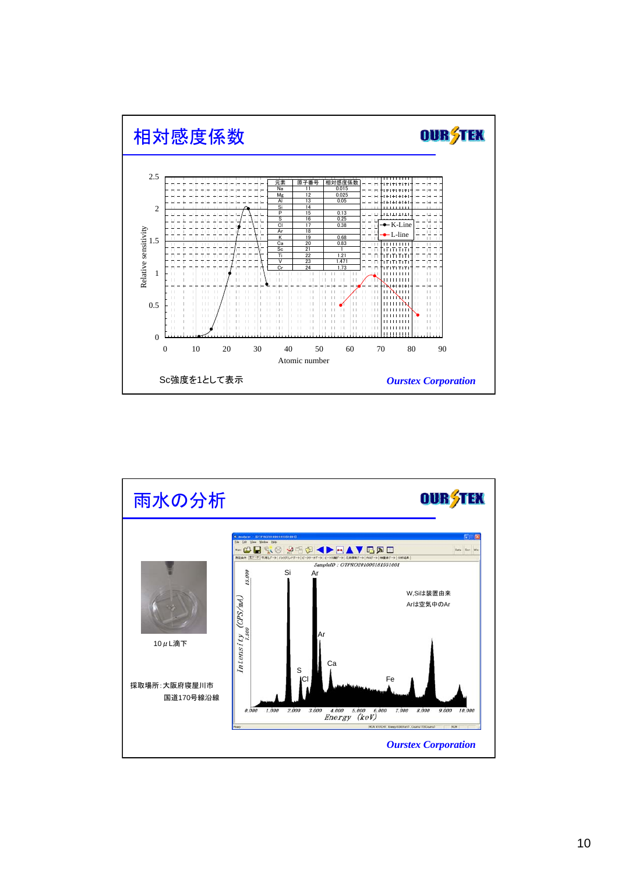

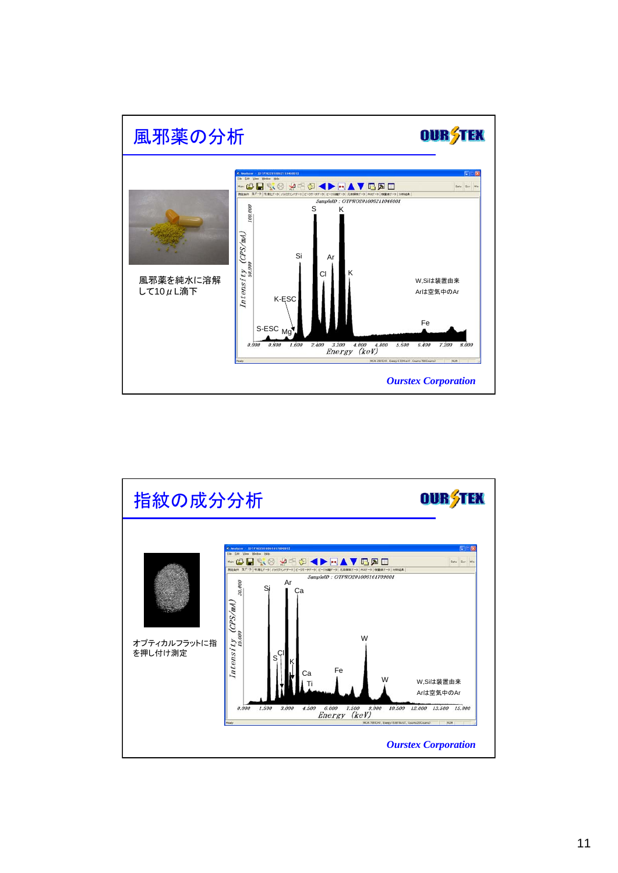

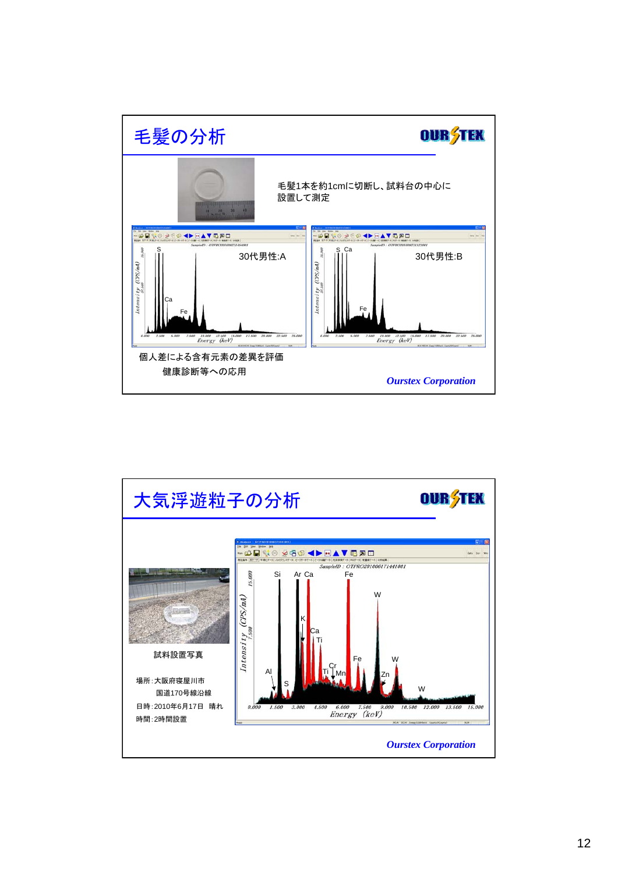